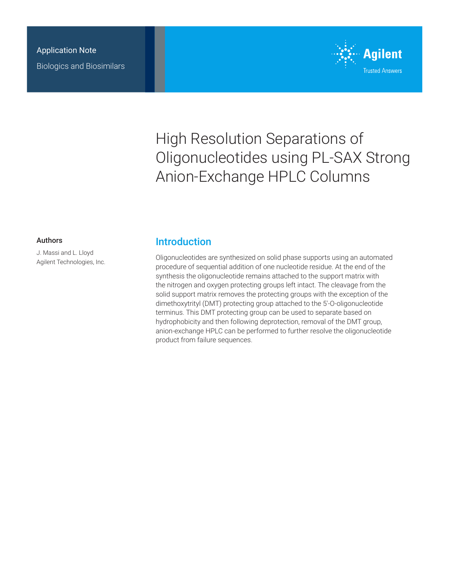

# High Resolution Separations of Oligonucleotides using PL-SAX Strong Anion-Exchange HPLC Columns

#### Authors

J. Massi and L. Lloyd Agilent Technologies, Inc.

### **Introduction**

Oligonucleotides are synthesized on solid phase supports using an automated procedure of sequential addition of one nucleotide residue. At the end of the synthesis the oligonucleotide remains attached to the support matrix with the nitrogen and oxygen protecting groups left intact. The cleavage from the solid support matrix removes the protecting groups with the exception of the dimethoxytrityl (DMT) protecting group attached to the 5'-O-oligonucleotide terminus. This DMT protecting group can be used to separate based on hydrophobicity and then following deprotection, removal of the DMT group, anion-exchange HPLC can be performed to further resolve the oligonucleotide product from failure sequences.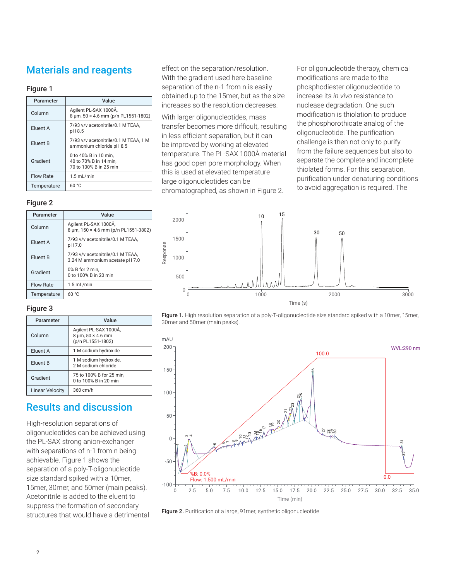## Materials and reagents

#### Figure 1

| Parameter        | Value                                                                     |  |
|------------------|---------------------------------------------------------------------------|--|
| Column           | Agilent PL-SAX 1000Å,<br>8 um, 50 × 4.6 mm (p/n PL1551-1802)              |  |
| Eluent A         | 7/93 v/v acetonitrile/0.1 M TEAA,<br>pH 8.5                               |  |
| Eluent B         | 7/93 v/v acetonitrile/0.1 M TEAA. 1 M<br>ammonium chloride pH 8.5         |  |
| Gradient         | 0 to 40% B in 10 min.<br>40 to 70% B in 14 min.<br>70 to 100% B in 25 min |  |
| <b>Flow Rate</b> | $1.5$ mL/min                                                              |  |
| Temperature      | 60 °C                                                                     |  |

#### Figure 2

| Parameter        | Value                                                               |
|------------------|---------------------------------------------------------------------|
| Column           | Agilent PL-SAX 1000Å,<br>8 um, 150 × 4.6 mm (p/n PL1551-3802)       |
| Eluent A         | 7/93 v/v acetonitrile/0.1 M TEAA.<br>pH 7.0                         |
| Eluent B         | 7/93 v/v acetonitrile/0.1 M TEAA,<br>3.24 M ammonium acetate pH 7.0 |
| Gradient         | 0% B for 2 min.<br>0 to 100% B in 20 min                            |
| <b>Flow Rate</b> | $1.5$ mL/min                                                        |
| Temperature      | 60 °C                                                               |

#### Figure 3

| Parameter              | Value                                                                           |
|------------------------|---------------------------------------------------------------------------------|
| Column                 | Agilent PL-SAX 1000Å,<br>$8 \mu m$ , $50 \times 4.6 \mu m$<br>(p/n PL1551-1802) |
| Eluent A               | 1 M sodium hydroxide                                                            |
| Eluent B               | 1 M sodium hydroxide,<br>2 M sodium chloride                                    |
| Gradient               | 75 to 100% B for 25 min,<br>0 to 100% B in 20 min                               |
| <b>Linear Velocity</b> | 360 cm/h                                                                        |

## Results and discussion

High-resolution separations of oligonucleotides can be achieved using the PL-SAX strong anion-exchanger with separations of n-1 from n being achievable. Figure 1 shows the separation of a poly-T-oligonucleotide size standard spiked with a 10mer, 15mer, 30mer, and 50mer (main peaks). Acetonitrile is added to the eluent to suppress the formation of secondary structures that would have a detrimental effect on the separation/resolution. With the gradient used here baseline separation of the n-1 from n is easily obtained up to the 15mer, but as the size increases so the resolution decreases.

With larger oligonucleotides, mass transfer becomes more difficult, resulting in less efficient separation, but it can be improved by working at elevated temperature. The PL-SAX 1000Å material has good open pore morphology. When this is used at elevated temperature large oligonucleotides can be chromatographed, as shown in Figure 2.

For oligonucleotide therapy, chemical modifications are made to the phosphodiester oligonucleotide to increase its *in vivo* resistance to nuclease degradation. One such modification is thiolation to produce the phosphorothioate analog of the oligonucleotide. The purification challenge is then not only to purify from the failure sequences but also to separate the complete and incomplete thiolated forms. For this separation, purification under denaturing conditions to avoid aggregation is required. The







Figure 2. Purification of a large, 91mer, synthetic oligonucleotide.